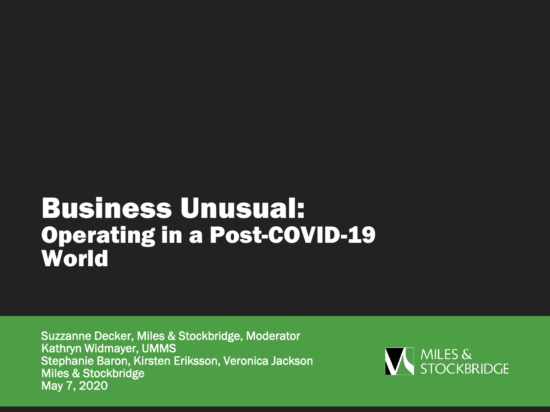# Business Unusual: Operating in a Post-COVID-19 **World**

Suzzanne Decker, Miles & Stockbridge, Moderator Kathryn Widmayer, UMMS Stephanie Baron, Kirsten Eriksson, Veronica Jackson Miles & Stockbridge May 7, 2020

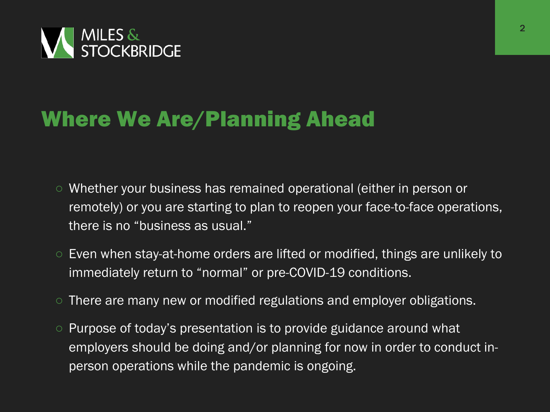

#### Where We Are/Planning Ahead

- Whether your business has remained operational (either in person or remotely) or you are starting to plan to reopen your face-to-face operations, there is no "business as usual."
- Even when stay-at-home orders are lifted or modified, things are unlikely to immediately return to "normal" or pre-COVID-19 conditions.
- There are many new or modified regulations and employer obligations.
- Purpose of today's presentation is to provide guidance around what employers should be doing and/or planning for now in order to conduct inperson operations while the pandemic is ongoing.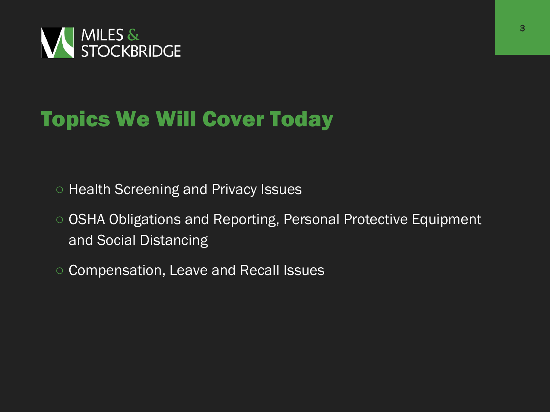

# Topics We Will Cover Today

- Health Screening and Privacy Issues
- OSHA Obligations and Reporting, Personal Protective Equipment and Social Distancing
- Compensation, Leave and Recall Issues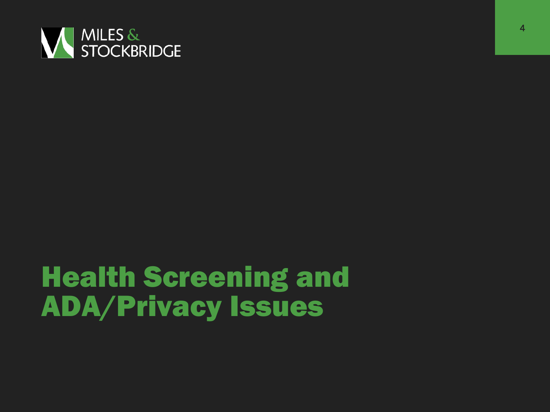

# Health Screening and ADA/Privacy Issues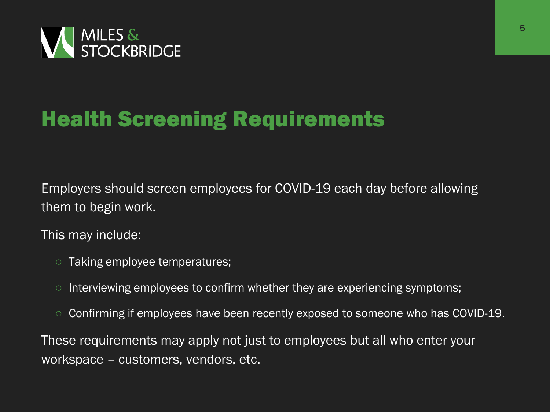

# Health Screening Requirements

Employers should screen employees for COVID-19 each day before allowing them to begin work.

This may include:

- Taking employee temperatures;
- Interviewing employees to confirm whether they are experiencing symptoms;
- Confirming if employees have been recently exposed to someone who has COVID-19.

These requirements may apply not just to employees but all who enter your workspace – customers, vendors, etc.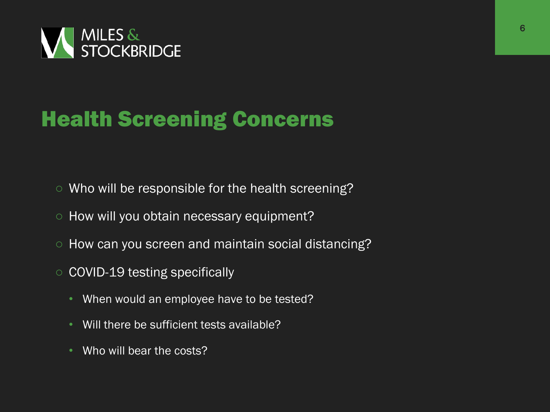

# Health Screening Concerns

- Who will be responsible for the health screening?
- How will you obtain necessary equipment?
- How can you screen and maintain social distancing?
- COVID-19 testing specifically
	- When would an employee have to be tested?
	- Will there be sufficient tests available?
	- Who will bear the costs?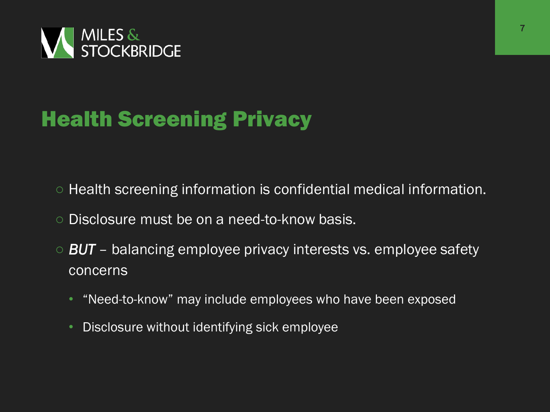

# Health Screening Privacy

- Health screening information is confidential medical information.
- Disclosure must be on a need-to-know basis.
- *BUT* balancing employee privacy interests vs. employee safety concerns
	- "Need-to-know" may include employees who have been exposed
	- Disclosure without identifying sick employee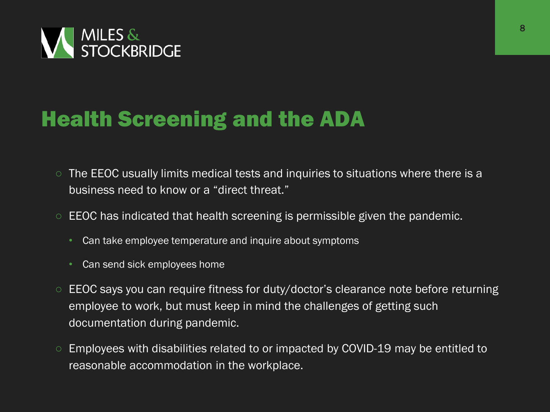

### Health Screening and the ADA

- The EEOC usually limits medical tests and inquiries to situations where there is a business need to know or a "direct threat."
- $\circ$  EEOC has indicated that health screening is permissible given the pandemic.
	- Can take employee temperature and inquire about symptoms
	- Can send sick employees home
- EEOC says you can require fitness for duty/doctor's clearance note before returning employee to work, but must keep in mind the challenges of getting such documentation during pandemic.
- Employees with disabilities related to or impacted by COVID-19 may be entitled to reasonable accommodation in the workplace.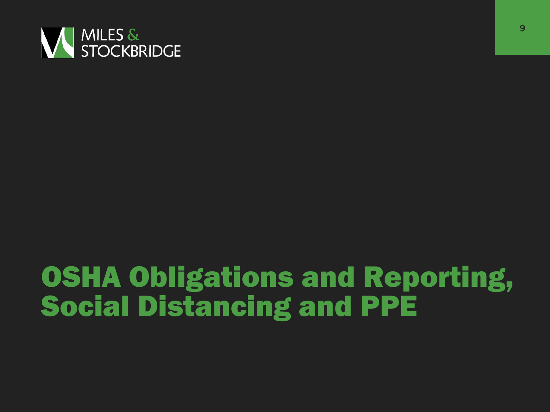

# OSHA Obligations and Reporting, Social Distancing and PPE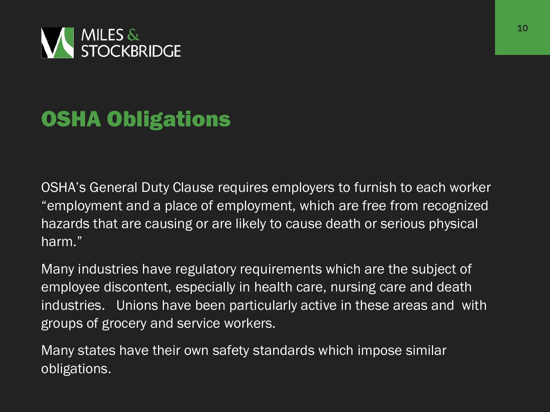

# OSHA Obligations

OSHA's General Duty Clause requires employers to furnish to each worker "employment and a place of employment, which are free from recognized hazards that are causing or are likely to cause death or serious physical harm."

Many industries have regulatory requirements which are the subject of employee discontent, especially in health care, nursing care and death industries. Unions have been particularly active in these areas and with groups of grocery and service workers.

Many states have their own safety standards which impose similar obligations.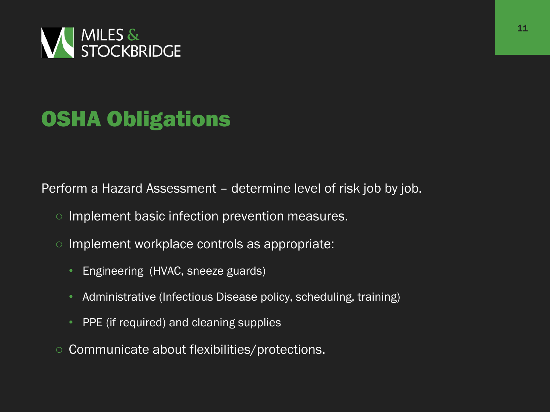

# OSHA Obligations

Perform a Hazard Assessment – determine level of risk job by job.

- Implement basic infection prevention measures.
- Implement workplace controls as appropriate:
	- Engineering (HVAC, sneeze guards)
	- Administrative (Infectious Disease policy, scheduling, training)
	- PPE (if required) and cleaning supplies
- Communicate about flexibilities/protections.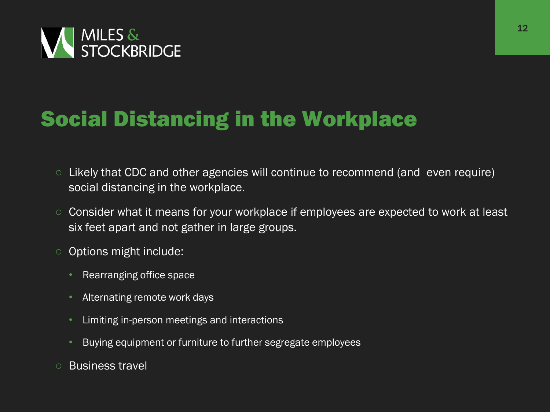

# Social Distancing in the Workplace

- Likely that CDC and other agencies will continue to recommend (and even require) social distancing in the workplace.
- Consider what it means for your workplace if employees are expected to work at least six feet apart and not gather in large groups.
- Options might include:
	- Rearranging office space
	- Alternating remote work days
	- Limiting in-person meetings and interactions
	- Buying equipment or furniture to further segregate employees
- Business travel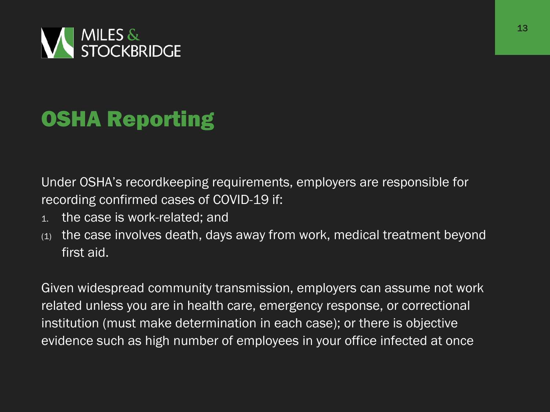

# OSHA Reporting

Under OSHA's recordkeeping requirements, employers are responsible for recording confirmed cases of COVID-19 if:

- 1. the case is work-related; and
- (1) the case involves death, days away from work, medical treatment beyond first aid.

Given widespread community transmission, employers can assume not work related unless you are in health care, emergency response, or correctional institution (must make determination in each case); or there is objective evidence such as high number of employees in your office infected at once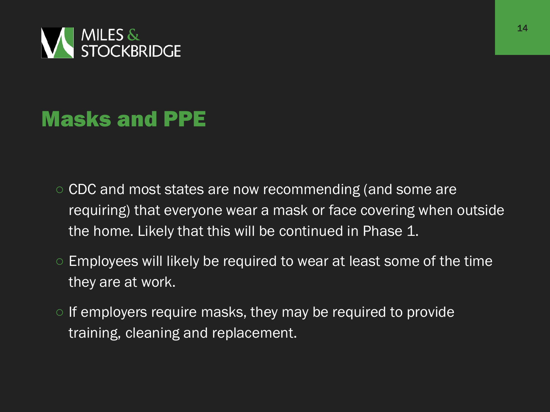

### Masks and PPE

- CDC and most states are now recommending (and some are requiring) that everyone wear a mask or face covering when outside the home. Likely that this will be continued in Phase 1.
- Employees will likely be required to wear at least some of the time they are at work.
- If employers require masks, they may be required to provide training, cleaning and replacement.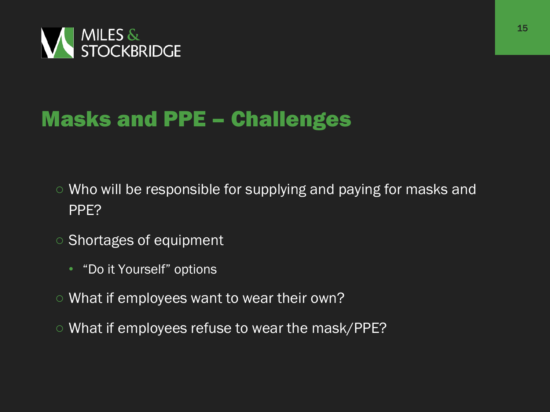

#### Masks and PPE – Challenges

- Who will be responsible for supplying and paying for masks and PPE?
- Shortages of equipment
	- "Do it Yourself" options
- What if employees want to wear their own?
- What if employees refuse to wear the mask/PPE?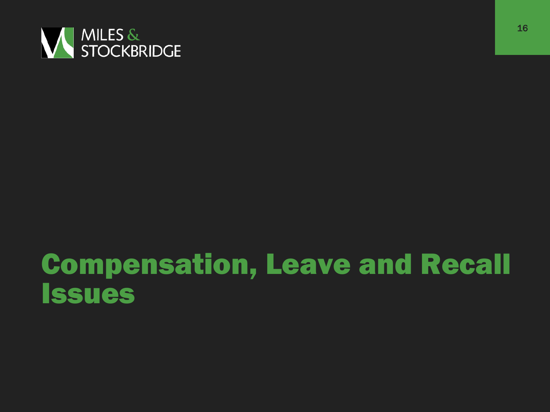

# Compensation, Leave and Recall Issues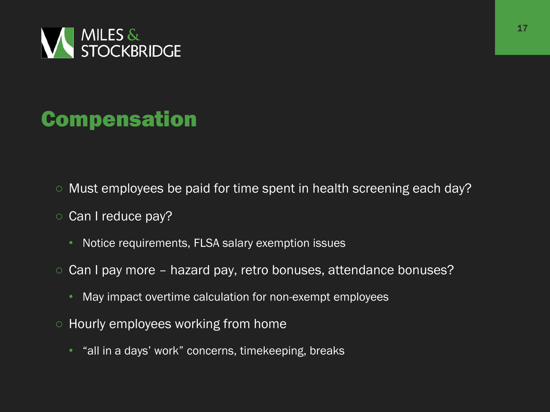

### Compensation

- Must employees be paid for time spent in health screening each day?
- Can I reduce pay?
	- Notice requirements, FLSA salary exemption issues
- Can I pay more hazard pay, retro bonuses, attendance bonuses?
	- May impact overtime calculation for non-exempt employees
- Hourly employees working from home
	- "all in a days' work" concerns, timekeeping, breaks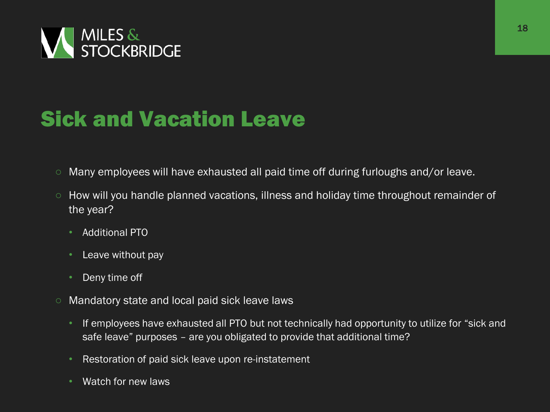

### Sick and Vacation Leave

- Many employees will have exhausted all paid time off during furloughs and/or leave.
- How will you handle planned vacations, illness and holiday time throughout remainder of the year?
	- Additional PTO
	- Leave without pay
	- Deny time off
- Mandatory state and local paid sick leave laws
	- If employees have exhausted all PTO but not technically had opportunity to utilize for "sick and safe leave" purposes – are you obligated to provide that additional time?
	- Restoration of paid sick leave upon re-instatement
	- Watch for new laws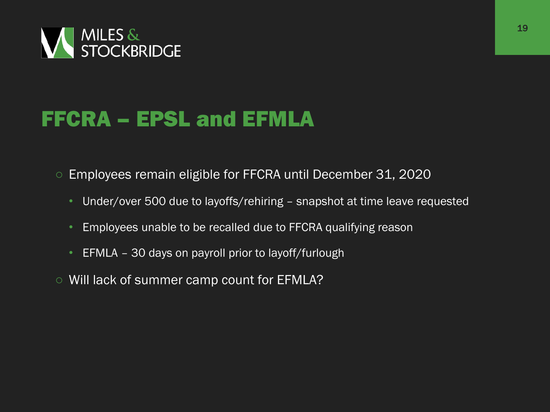

#### FFCRA – EPSL and EFMLA

○ Employees remain eligible for FFCRA until December 31, 2020

- Under/over 500 due to layoffs/rehiring snapshot at time leave requested
- Employees unable to be recalled due to FFCRA qualifying reason
- EFMLA 30 days on payroll prior to layoff/furlough
- Will lack of summer camp count for EFMLA?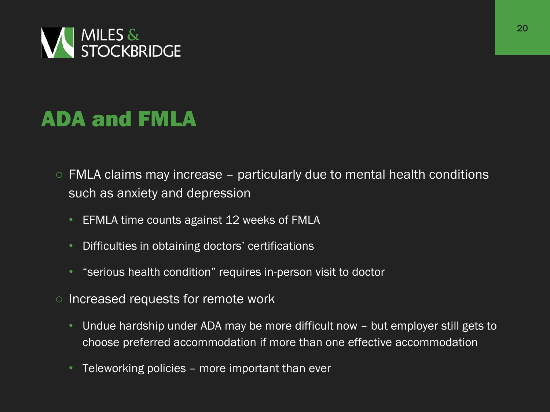

### ADA and FMLA

- $\circ$  FMLA claims may increase particularly due to mental health conditions such as anxiety and depression
	- EFMLA time counts against 12 weeks of FMLA
	- Difficulties in obtaining doctors' certifications
	- "serious health condition" requires in-person visit to doctor
- Increased requests for remote work
	- Undue hardship under ADA may be more difficult now but employer still gets to choose preferred accommodation if more than one effective accommodation
	- Teleworking policies more important than ever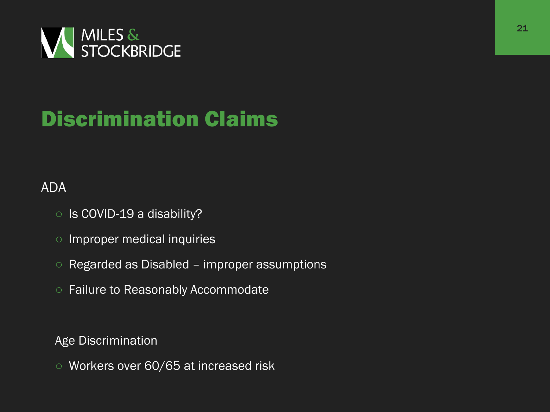

# Discrimination Claims

#### ADA

- Is COVID-19 a disability?
- Improper medical inquiries
- Regarded as Disabled improper assumptions
- Failure to Reasonably Accommodate

Age Discrimination

○ Workers over 60/65 at increased risk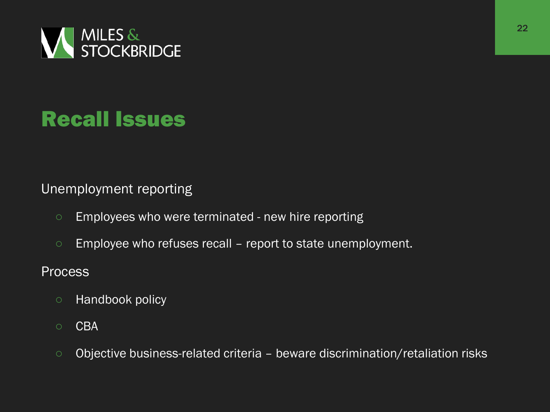

### Recall Issues

Unemployment reporting

- Employees who were terminated new hire reporting
- Employee who refuses recall report to state unemployment.

**Process** 

- Handbook policy
- CBA
- Objective business-related criteria beware discrimination/retaliation risks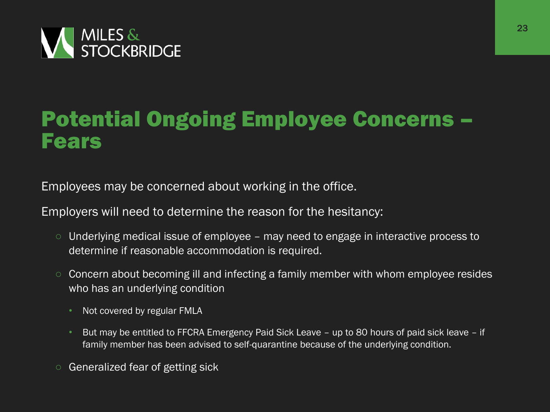

#### Potential Ongoing Employee Concerns – Fears

Employees may be concerned about working in the office.

Employers will need to determine the reason for the hesitancy:

- Underlying medical issue of employee may need to engage in interactive process to determine if reasonable accommodation is required.
- Concern about becoming ill and infecting a family member with whom employee resides who has an underlying condition
	- Not covered by regular FMLA
	- But may be entitled to FFCRA Emergency Paid Sick Leave up to 80 hours of paid sick leave if family member has been advised to self-quarantine because of the underlying condition.
- Generalized fear of getting sick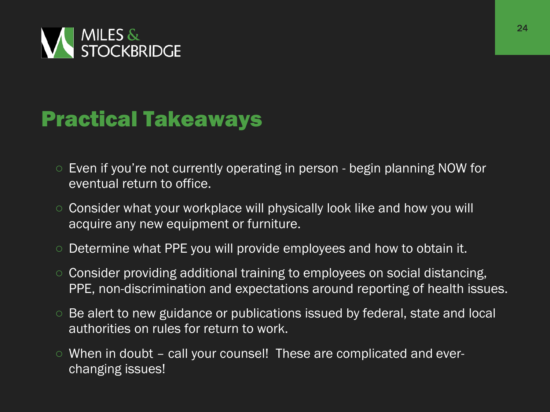

#### Practical Takeaways

- Even if you're not currently operating in person begin planning NOW for eventual return to office.
- Consider what your workplace will physically look like and how you will acquire any new equipment or furniture.
- Determine what PPE you will provide employees and how to obtain it.
- Consider providing additional training to employees on social distancing, PPE, non-discrimination and expectations around reporting of health issues.
- Be alert to new guidance or publications issued by federal, state and local authorities on rules for return to work.
- $\circ$  When in doubt call your counsel! These are complicated and everchanging issues!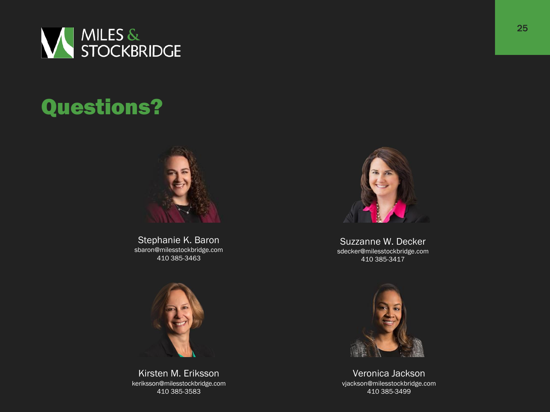

# Questions?



Stephanie K. Baron sbaron@milesstockbridge.com 410 385-3463



Kirsten M. Eriksson keriksson@milesstockbridge.com 410 385-3583



Suzzanne W. Decker sdecker@milesstockbridge.com 410 385-3417



Veronica Jackson vjackson@milesstockbridge.com 410 385-3499